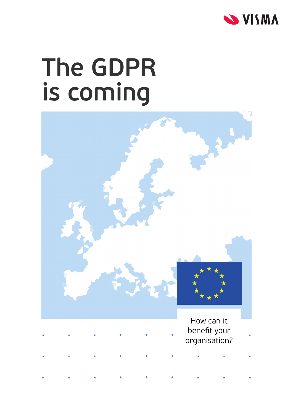

## **The GDPR is coming**

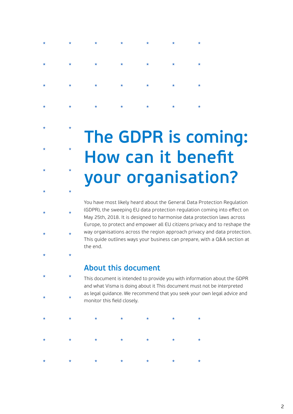## **The GDPR is coming: How can it benefit your organisation?**

You have most likely heard about the General Data Protection Regulation (GDPR), the sweeping EU data protection regulation coming into effect on May 25th, 2018. It is designed to harmonise data protection laws across Europe, to protect and empower all EU citizens privacy and to reshape the way organisations across the region approach privacy and data protection. This guide outlines ways your business can prepare, with a Q&A section at the end.

### **About this document**

This document is intended to provide you with information about the GDPR and what Visma is doing about it This document must not be interpreted as legal guidance. We recommend that you seek your own legal advice and monitor this field closely.

|  |  | * * * * * * * * |  |
|--|--|-----------------|--|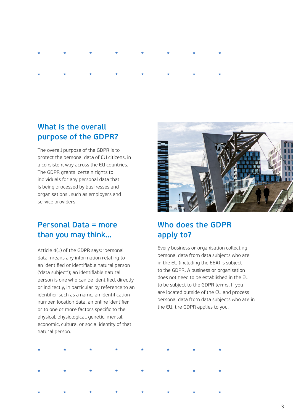## **What is the overall purpose of the GDPR?**

The overall purpose of the GDPR is to protect the personal data of EU citizens, in a consistent way across the EU countries. The GDPR grants certain rights to individuals for any personal data that is being processed by businesses and organisations , such as employers and service providers.

## **Personal Data = more than you may think…**

Article 4(1) of the GDPR says: 'personal data' means any information relating to an identified or identifiable natural person ('data subject'); an identifiable natural person is one who can be identified, directly or indirectly, in particular by reference to an identifier such as a name, an identification number, location data, an online identifier or to one or more factors specific to the physical, physiological, genetic, mental, economic, cultural or social identity of that natural person.



## **Who does the GDPR apply to?**

Every business or organisation collecting personal data from data subjects who are in the EU (including the EEA) is subject to the GDPR. A business or organisation does not need to be established in the EU to be subject to the GDPR terms. If you are located outside of the EU and process personal data from data subjects who are in the EU, the GDPR applies to you.

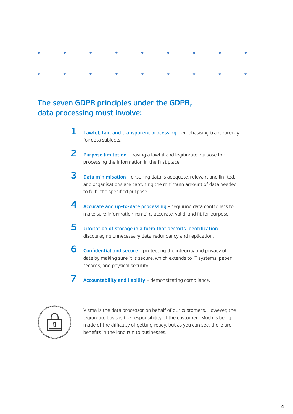## **The seven GDPR principles under the GDPR, data processing must involve:**

- **Lawful, fair, and transparent processing** emphasising transparency for data subjects. **1**
- **Purpose limitation** having a lawful and legitimate purpose for processing the information in the first place. **2**
- **Data minimisation** ensuring data is adequate, relevant and limited, and organisations are capturing the minimum amount of data needed to fulfil the specified purpose. **3**
- **Accurate and up-to-date processing**  requiring data controllers to make sure information remains accurate, valid, and fit for purpose. **4**
- **Limitation of storage in a form that permits identification** discouraging unnecessary data redundancy and replication. **5**
- **Confidential and secure** protecting the integrity and privacy of **6** data by making sure it is secure, which extends to IT systems, paper records, and physical security.
- **Accountability and liability**  demonstrating compliance. **7**



Visma is the data processor on behalf of our customers. However, the legitimate basis is the responsibility of the customer. Much is being made of the difficulty of getting ready, but as you can see, there are benefits in the long run to businesses.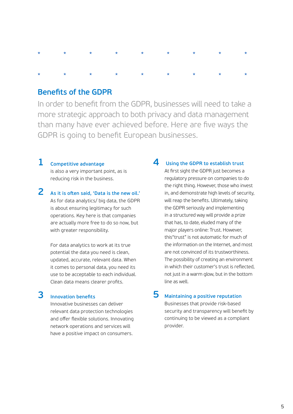#### **Benefits of the GDPR**

In order to benefit from the GDPR, businesses will need to take a more strategic approach to both privacy and data management than many have ever achieved before. Here are five ways the GDPR is going to benefit European businesses.

#### **Competitive advantage 1**

is also a very important point, as is reducing risk in the business.

**As it is often said, 'Data is the new oil.'**  As for data analytics/ big data, the GDPR is about ensuring legitimacy for such operations. Key here is that companies are actually more free to do so now, but with greater responsibility. **2**

> For data analytics to work at its true potential the data you need is clean, updated, accurate, relevant data. When it comes to personal data, you need its use to be acceptable to each individual. Clean data means clearer profits.

#### **Innovation benefits 3**

Innovative businesses can deliver relevant data protection technologies and offer flexible solutions. Innovating network operations and services will have a positive impact on consumers.

#### **4 Using the GDPR to establish trust**

At first sight the GDPR just becomes a regulatory pressure on companies to do the right thing. However, those who invest in, and demonstrate high levels of security, will reap the benefits. Ultimately, taking the GDPR seriously and implementing in a structured way will provide a prize that has, to date, eluded many of the major players online: Trust. However, this"trust" is not automatic for much of the information on the Internet, and most are not convinced of its trustworthiness. The possibility of creating an environment in which their customer's trust is reflected, not just in a warm glow, but in the bottom line as well.

#### **5 Maintaining a positive reputation** Businesses that provide risk-based

security and transparency will benefit by continuing to be viewed as a compliant provider.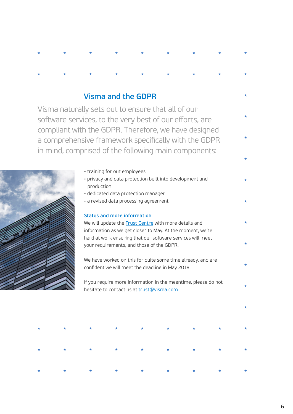### **Visma and the GDPR**

Visma naturally sets out to ensure that all of our software services, to the very best of our efforts, are compliant with the GDPR. Therefore, we have designed a comprehensive framework specifically with the GDPR in mind, comprised of the following main components:



| • training for our employees |  |
|------------------------------|--|
|------------------------------|--|

- privacy and data protection built into development and production
- dedicated data protection manager
- a revised data processing agreement

#### **Status and more information**

We will update the **Trust Centre** with more details and information as we get closer to May. At the moment, we're hard at work ensuring that our software services will meet your requirements, and those of the GDPR.

We have worked on this for quite some time already, and are confident we will meet the deadline in May 2018.

If you require more information in the meantime, please do not hesitate to contact us at trust@visma.com

|  | * * * * * * * * * * * |  |  |  |
|--|-----------------------|--|--|--|
|  | * * * * * * * * * *   |  |  |  |
|  | * * * * * * * * * *   |  |  |  |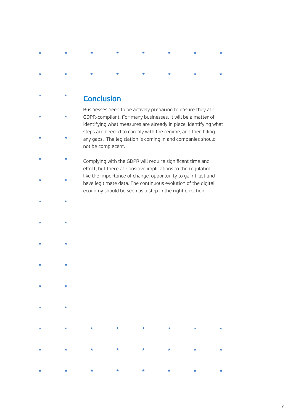# ÷

## **Conclusion**

 $\star$ 

 $\star$ 

 $\star$ 

Businesses need to be actively preparing to ensure they are GDPR-compliant. For many businesses, it will be a matter of identifying what measures are already in place, identifying what steps are needed to comply with the regime, and then filling any gaps. The legislation is coming in and companies should not be complacent.

 $\star$ Complying with the GDPR will require significant time and effort, but there are positive implications to the regulation, like the importance of change, opportunity to gain trust and  $\star$ have legitimate data. The continuous evolution of the digital economy should be seen as a step in the right direction.